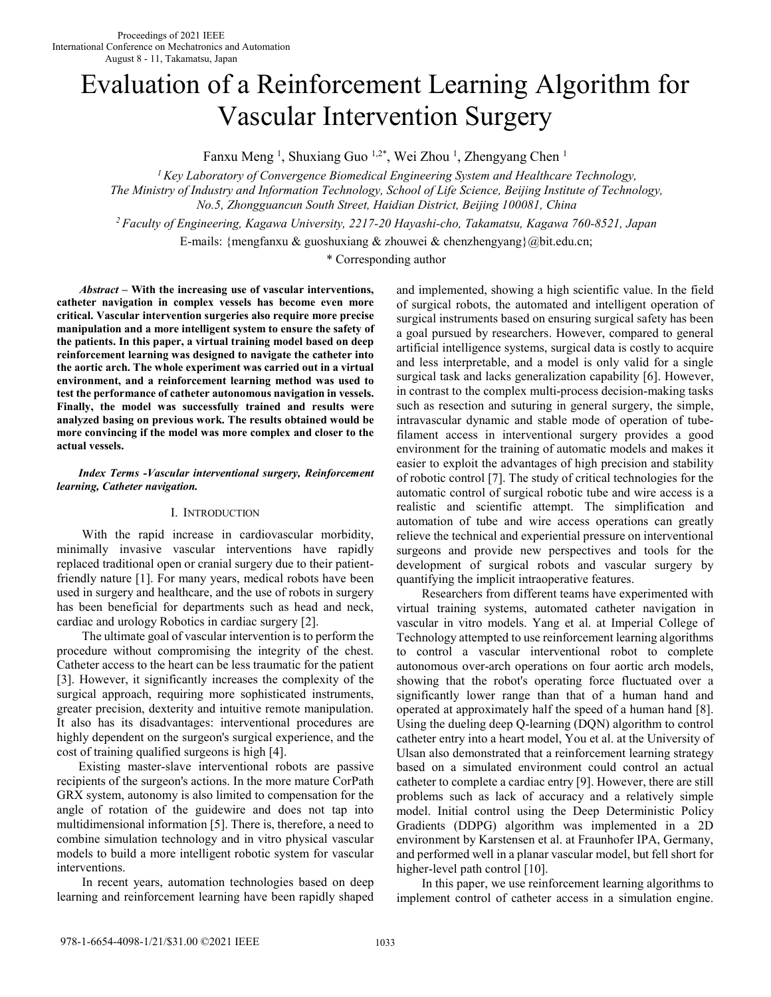# Evaluation of a Reinforcement Learning Algorithm for Vascular Intervention Surgery

Fanxu Meng<sup>1</sup>, Shuxiang Guo<sup>1,2\*</sup>, Wei Zhou<sup>1</sup>, Zhengyang Chen<sup>1</sup>

*<sup>1</sup>Key Laboratory of Convergence Biomedical Engineering System and Healthcare Technology, The Ministry of Industry and Information Technology, School of Life Science, Beijing Institute of Technology, No.5, Zhongguancun South Street, Haidian District, Beijing 100081, China* 

*<sup>2</sup>Faculty of Engineering, Kagawa University, 2217-20 Hayashi-cho, Takamatsu, Kagawa 760-8521, Japan* 

E-mails: {mengfanxu & guoshuxiang & zhouwei & chenzhengyang}@bit.edu.cn;

\* Corresponding author

*Abstract* **– With the increasing use of vascular interventions, catheter navigation in complex vessels has become even more critical. Vascular intervention surgeries also require more precise manipulation and a more intelligent system to ensure the safety of the patients. In this paper, a virtual training model based on deep reinforcement learning was designed to navigate the catheter into the aortic arch. The whole experiment was carried out in a virtual environment, and a reinforcement learning method was used to test the performance of catheter autonomous navigation in vessels. Finally, the model was successfully trained and results were analyzed basing on previous work. The results obtained would be more convincing if the model was more complex and closer to the actual vessels.**

### *Index Terms -Vascular interventional surgery, Reinforcement learning, Catheter navigation.*

#### I. INTRODUCTION

With the rapid increase in cardiovascular morbidity, minimally invasive vascular interventions have rapidly replaced traditional open or cranial surgery due to their patientfriendly nature [1]. For many years, medical robots have been used in surgery and healthcare, and the use of robots in surgery has been beneficial for departments such as head and neck, cardiac and urology Robotics in cardiac surgery [2].

The ultimate goal of vascular intervention is to perform the procedure without compromising the integrity of the chest. Catheter access to the heart can be less traumatic for the patient [3]. However, it significantly increases the complexity of the surgical approach, requiring more sophisticated instruments, greater precision, dexterity and intuitive remote manipulation. It also has its disadvantages: interventional procedures are highly dependent on the surgeon's surgical experience, and the cost of training qualified surgeons is high [4].

Existing master-slave interventional robots are passive recipients of the surgeon's actions. In the more mature CorPath GRX system, autonomy is also limited to compensation for the angle of rotation of the guidewire and does not tap into multidimensional information [5]. There is, therefore, a need to combine simulation technology and in vitro physical vascular models to build a more intelligent robotic system for vascular interventions.

In recent years, automation technologies based on deep learning and reinforcement learning have been rapidly shaped and implemented, showing a high scientific value. In the field of surgical robots, the automated and intelligent operation of surgical instruments based on ensuring surgical safety has been a goal pursued by researchers. However, compared to general artificial intelligence systems, surgical data is costly to acquire and less interpretable, and a model is only valid for a single surgical task and lacks generalization capability [6]. However, in contrast to the complex multi-process decision-making tasks such as resection and suturing in general surgery, the simple, intravascular dynamic and stable mode of operation of tubefilament access in interventional surgery provides a good environment for the training of automatic models and makes it easier to exploit the advantages of high precision and stability of robotic control [7]. The study of critical technologies for the automatic control of surgical robotic tube and wire access is a realistic and scientific attempt. The simplification and automation of tube and wire access operations can greatly relieve the technical and experiential pressure on interventional surgeons and provide new perspectives and tools for the development of surgical robots and vascular surgery by quantifying the implicit intraoperative features.

Researchers from different teams have experimented with virtual training systems, automated catheter navigation in vascular in vitro models. Yang et al. at Imperial College of Technology attempted to use reinforcement learning algorithms to control a vascular interventional robot to complete autonomous over-arch operations on four aortic arch models, showing that the robot's operating force fluctuated over a significantly lower range than that of a human hand and operated at approximately half the speed of a human hand [8]. Using the dueling deep Q-learning (DQN) algorithm to control catheter entry into a heart model, You et al. at the University of Ulsan also demonstrated that a reinforcement learning strategy based on a simulated environment could control an actual catheter to complete a cardiac entry [9]. However, there are still problems such as lack of accuracy and a relatively simple model. Initial control using the Deep Deterministic Policy Gradients (DDPG) algorithm was implemented in a 2D environment by Karstensen et al. at Fraunhofer IPA, Germany, and performed well in a planar vascular model, but fell short for higher-level path control [10].

In this paper, we use reinforcement learning algorithms to implement control of catheter access in a simulation engine.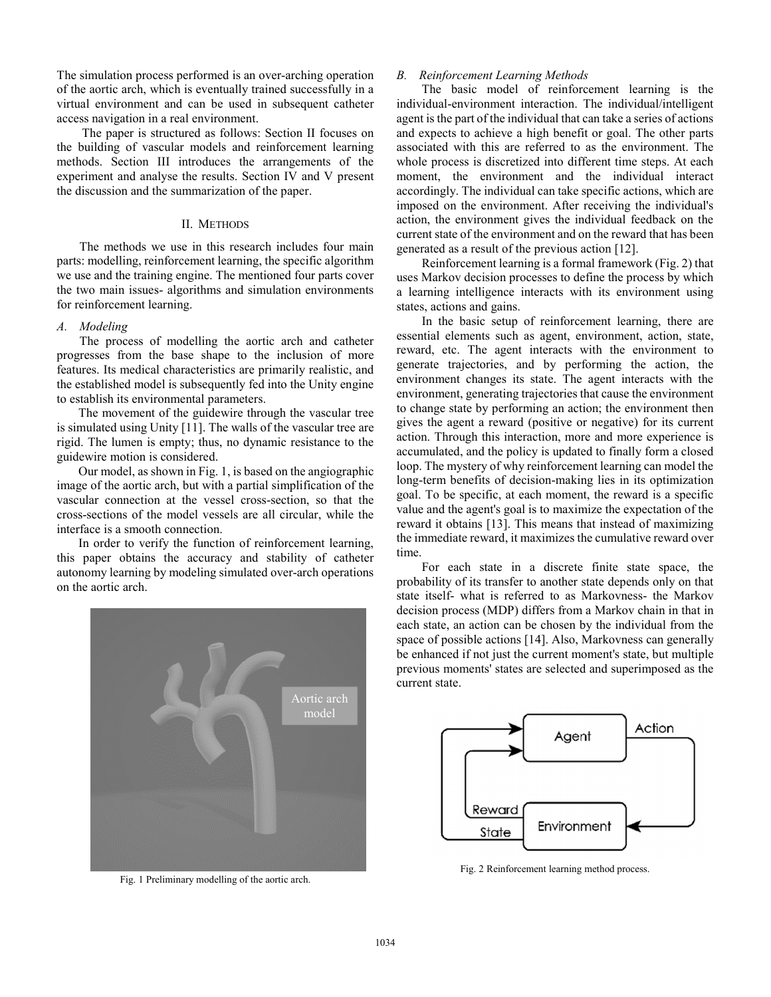The simulation process performed is an over-arching operation of the aortic arch, which is eventually trained successfully in a virtual environment and can be used in subsequent catheter access navigation in a real environment.

The paper is structured as follows: Section II focuses on the building of vascular models and reinforcement learning methods. Section III introduces the arrangements of the experiment and analyse the results. Section IV and V present the discussion and the summarization of the paper.

### II. METHODS

The methods we use in this research includes four main parts: modelling, reinforcement learning, the specific algorithm we use and the training engine. The mentioned four parts cover the two main issues- algorithms and simulation environments for reinforcement learning.

#### *A. Modeling*

 The process of modelling the aortic arch and catheter progresses from the base shape to the inclusion of more features. Its medical characteristics are primarily realistic, and the established model is subsequently fed into the Unity engine to establish its environmental parameters.

 The movement of the guidewire through the vascular tree is simulated using Unity [11]. The walls of the vascular tree are rigid. The lumen is empty; thus, no dynamic resistance to the guidewire motion is considered.

Our model, as shown in Fig. 1, is based on the angiographic image of the aortic arch, but with a partial simplification of the vascular connection at the vessel cross-section, so that the cross-sections of the model vessels are all circular, while the interface is a smooth connection.

 In order to verify the function of reinforcement learning, this paper obtains the accuracy and stability of catheter autonomy learning by modeling simulated over-arch operations on the aortic arch.



Fig. 1 Preliminary modelling of the aortic arch.

## *B. Reinforcement Learning Methods*

The basic model of reinforcement learning is the individual-environment interaction. The individual/intelligent agent is the part of the individual that can take a series of actions and expects to achieve a high benefit or goal. The other parts associated with this are referred to as the environment. The whole process is discretized into different time steps. At each moment, the environment and the individual interact accordingly. The individual can take specific actions, which are imposed on the environment. After receiving the individual's action, the environment gives the individual feedback on the current state of the environment and on the reward that has been generated as a result of the previous action [12].

Reinforcement learning is a formal framework (Fig. 2) that uses Markov decision processes to define the process by which a learning intelligence interacts with its environment using states, actions and gains.

In the basic setup of reinforcement learning, there are essential elements such as agent, environment, action, state, reward, etc. The agent interacts with the environment to generate trajectories, and by performing the action, the environment changes its state. The agent interacts with the environment, generating trajectories that cause the environment to change state by performing an action; the environment then gives the agent a reward (positive or negative) for its current action. Through this interaction, more and more experience is accumulated, and the policy is updated to finally form a closed loop. The mystery of why reinforcement learning can model the long-term benefits of decision-making lies in its optimization goal. To be specific, at each moment, the reward is a specific value and the agent's goal is to maximize the expectation of the reward it obtains [13]. This means that instead of maximizing the immediate reward, it maximizes the cumulative reward over time.

For each state in a discrete finite state space, the probability of its transfer to another state depends only on that state itself- what is referred to as Markovness- the Markov decision process (MDP) differs from a Markov chain in that in each state, an action can be chosen by the individual from the space of possible actions [14]. Also, Markovness can generally be enhanced if not just the current moment's state, but multiple previous moments' states are selected and superimposed as the current state.



Fig. 2 Reinforcement learning method process.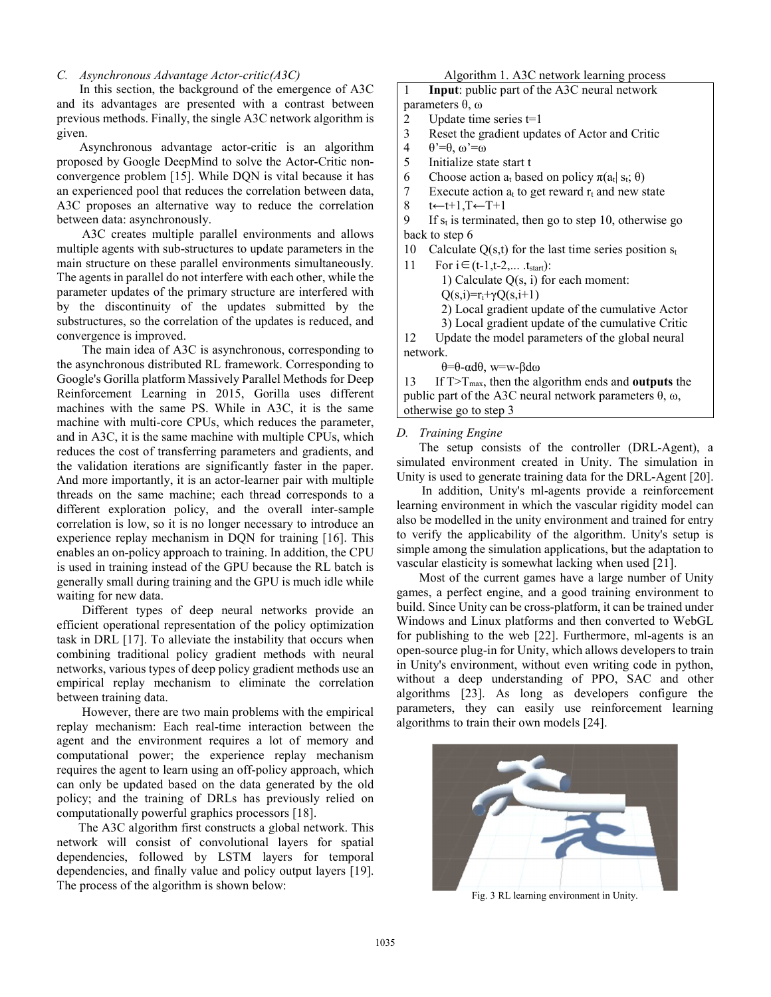#### *C. Asynchronous Advantage Actor-critic(A3C)*

 In this section, the background of the emergence of A3C and its advantages are presented with a contrast between previous methods. Finally, the single A3C network algorithm is given.

 Asynchronous advantage actor-critic is an algorithm proposed by Google DeepMind to solve the Actor-Critic nonconvergence problem [15]. While DQN is vital because it has an experienced pool that reduces the correlation between data, A3C proposes an alternative way to reduce the correlation between data: asynchronously.

A3C creates multiple parallel environments and allows multiple agents with sub-structures to update parameters in the main structure on these parallel environments simultaneously. The agents in parallel do not interfere with each other, while the parameter updates of the primary structure are interfered with by the discontinuity of the updates submitted by the substructures, so the correlation of the updates is reduced, and convergence is improved.

The main idea of A3C is asynchronous, corresponding to the asynchronous distributed RL framework. Corresponding to Google's Gorilla platform Massively Parallel Methods for Deep Reinforcement Learning in 2015, Gorilla uses different machines with the same PS. While in A3C, it is the same machine with multi-core CPUs, which reduces the parameter, and in A3C, it is the same machine with multiple CPUs, which reduces the cost of transferring parameters and gradients, and the validation iterations are significantly faster in the paper. And more importantly, it is an actor-learner pair with multiple threads on the same machine; each thread corresponds to a different exploration policy, and the overall inter-sample correlation is low, so it is no longer necessary to introduce an experience replay mechanism in DQN for training [16]. This enables an on-policy approach to training. In addition, the CPU is used in training instead of the GPU because the RL batch is generally small during training and the GPU is much idle while waiting for new data.

Different types of deep neural networks provide an efficient operational representation of the policy optimization task in DRL [17]. To alleviate the instability that occurs when combining traditional policy gradient methods with neural networks, various types of deep policy gradient methods use an empirical replay mechanism to eliminate the correlation between training data.

However, there are two main problems with the empirical replay mechanism: Each real-time interaction between the agent and the environment requires a lot of memory and computational power; the experience replay mechanism requires the agent to learn using an off-policy approach, which can only be updated based on the data generated by the old policy; and the training of DRLs has previously relied on computationally powerful graphics processors [18].

The A3C algorithm first constructs a global network. This network will consist of convolutional layers for spatial dependencies, followed by LSTM layers for temporal dependencies, and finally value and policy output layers [19]. The process of the algorithm is shown below:

### Algorithm 1. A3C network learning process

1 **Input**: public part of the A3C neural network parameters θ, ω

- 2Update time series t=1
- 3Reset the gradient updates of Actor and Critic
- 4  $\theta'=\theta$ , ω'=ω<br>5 Initialize sta
- 5Initialize state start t
- 6 Choose action  $a_t$  based on policy  $\pi(a_t | s_t; \theta)$
- 7 Execute action  $a_t$  to get reward  $r_t$  and new state
- $8$  t←t+1,T←T+1

9 If  $s_t$  is terminated, then go to step 10, otherwise go back to step 6

- 10 Calculate  $Q(s,t)$  for the last time series position  $s_t$
- 11 For  $i \in (t-1, t-2,..., t_{start})$ : 1) Calculate Q(s, i) for each moment:  $Q(s,i)=r_i+\gamma Q(s,i+1)$ 
	- 2) Local gradient update of the cumulative Actor
	- 3) Local gradient update of the cumulative Critic

12 Update the model parameters of the global neural network.

θ=θ-αdθ, w=w-βdω

13 If  $T>T_{max}$ , then the algorithm ends and **outputs** the public part of the A3C neural network parameters  $θ$ , ω, otherwise go to step 3

### *D. Training Engine*

 The setup consists of the controller (DRL-Agent), a simulated environment created in Unity. The simulation in Unity is used to generate training data for the DRL-Agent [20].

In addition, Unity's ml-agents provide a reinforcement learning environment in which the vascular rigidity model can also be modelled in the unity environment and trained for entry to verify the applicability of the algorithm. Unity's setup is simple among the simulation applications, but the adaptation to vascular elasticity is somewhat lacking when used [21].

 Most of the current games have a large number of Unity games, a perfect engine, and a good training environment to build. Since Unity can be cross-platform, it can be trained under Windows and Linux platforms and then converted to WebGL for publishing to the web [22]. Furthermore, ml-agents is an open-source plug-in for Unity, which allows developers to train in Unity's environment, without even writing code in python, without a deep understanding of PPO, SAC and other algorithms [23]. As long as developers configure the parameters, they can easily use reinforcement learning algorithms to train their own models [24].



Fig. 3 RL learning environment in Unity.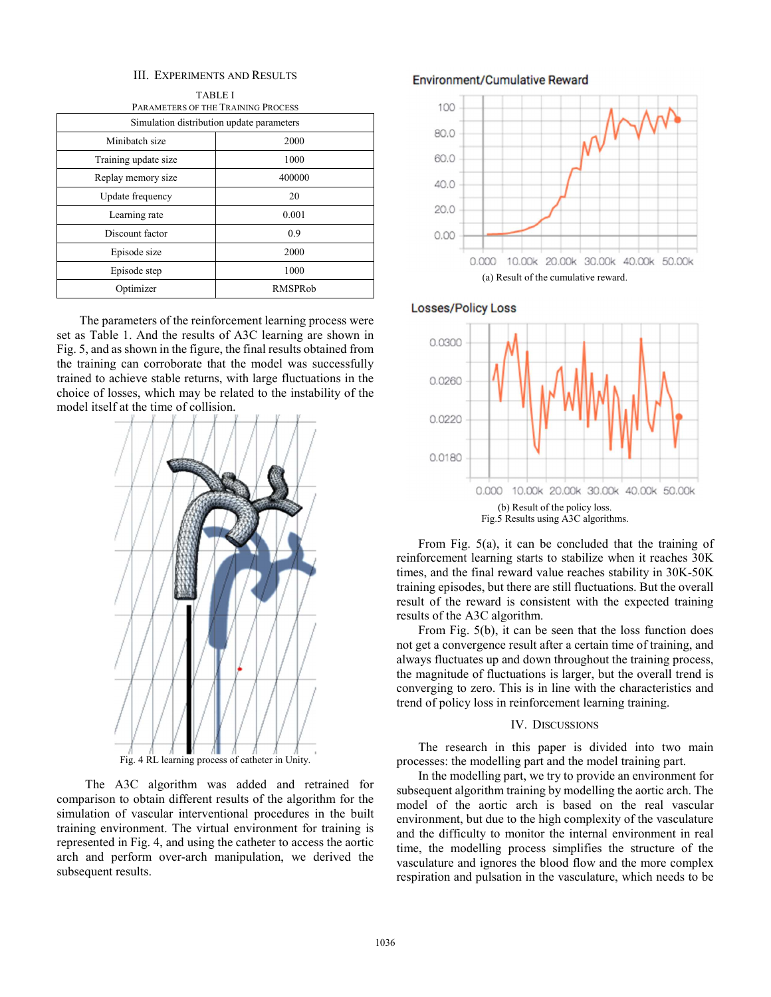# III. EXPERIMENTS AND RESULTS TABLE I

| PARAMETERS OF THE TRAINING PROCESS        |                |
|-------------------------------------------|----------------|
| Simulation distribution update parameters |                |
| Minibatch size                            | 2000           |
| Training update size                      | 1000           |
| Replay memory size                        | 400000         |
| Update frequency                          | 20             |
| Learning rate                             | 0.001          |
| Discount factor                           | 0.9            |
| Episode size                              | 2000           |
| Episode step                              | 1000           |
| Optimizer                                 | <b>RMSPRob</b> |

 The parameters of the reinforcement learning process were set as Table 1. And the results of A3C learning are shown in Fig. 5, and as shown in the figure, the final results obtained from the training can corroborate that the model was successfully trained to achieve stable returns, with large fluctuations in the choice of losses, which may be related to the instability of the model itself at the time of collision.



 The A3C algorithm was added and retrained for comparison to obtain different results of the algorithm for the simulation of vascular interventional procedures in the built training environment. The virtual environment for training is represented in Fig. 4, and using the catheter to access the aortic arch and perform over-arch manipulation, we derived the subsequent results.

## Environment/Cumulative Reward







From Fig. 5(a), it can be concluded that the training of reinforcement learning starts to stabilize when it reaches 30K times, and the final reward value reaches stability in 30K-50K training episodes, but there are still fluctuations. But the overall result of the reward is consistent with the expected training results of the A3C algorithm.

From Fig. 5(b), it can be seen that the loss function does not get a convergence result after a certain time of training, and always fluctuates up and down throughout the training process, the magnitude of fluctuations is larger, but the overall trend is converging to zero. This is in line with the characteristics and trend of policy loss in reinforcement learning training.

#### IV. DISCUSSIONS

The research in this paper is divided into two main processes: the modelling part and the model training part.

In the modelling part, we try to provide an environment for subsequent algorithm training by modelling the aortic arch. The model of the aortic arch is based on the real vascular environment, but due to the high complexity of the vasculature and the difficulty to monitor the internal environment in real time, the modelling process simplifies the structure of the vasculature and ignores the blood flow and the more complex respiration and pulsation in the vasculature, which needs to be